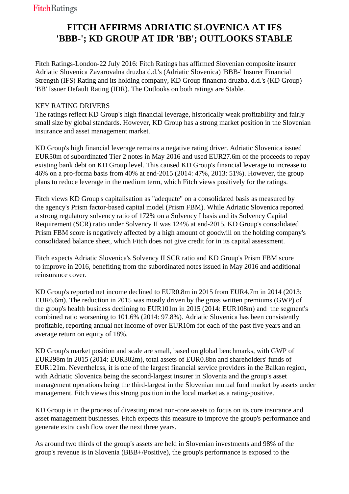## **FITCH AFFIRMS ADRIATIC SLOVENICA AT IFS 'BBB-'; KD GROUP AT IDR 'BB'; OUTLOOKS STABLE**

 Fitch Ratings-London-22 July 2016: Fitch Ratings has affirmed Slovenian composite insurer Adriatic Slovenica Zavarovalna druzba d.d.'s (Adriatic Slovenica) 'BBB-' Insurer Financial Strength (IFS) Rating and its holding company, KD Group financna druzba, d.d.'s (KD Group) 'BB' Issuer Default Rating (IDR). The Outlooks on both ratings are Stable.

## KEY RATING DRIVERS

 The ratings reflect KD Group's high financial leverage, historically weak profitability and fairly small size by global standards. However, KD Group has a strong market position in the Slovenian insurance and asset management market.

 KD Group's high financial leverage remains a negative rating driver. Adriatic Slovenica issued EUR50m of subordinated Tier 2 notes in May 2016 and used EUR27.6m of the proceeds to repay existing bank debt on KD Group level. This caused KD Group's financial leverage to increase to 46% on a pro-forma basis from 40% at end-2015 (2014: 47%, 2013: 51%). However, the group plans to reduce leverage in the medium term, which Fitch views positively for the ratings.

 Fitch views KD Group's capitalisation as "adequate" on a consolidated basis as measured by the agency's Prism factor-based capital model (Prism FBM). While Adriatic Slovenica reported a strong regulatory solvency ratio of 172% on a Solvency I basis and its Solvency Capital Requirement (SCR) ratio under Solvency II was 124% at end-2015, KD Group's consolidated Prism FBM score is negatively affected by a high amount of goodwill on the holding company's consolidated balance sheet, which Fitch does not give credit for in its capital assessment.

 Fitch expects Adriatic Slovenica's Solvency II SCR ratio and KD Group's Prism FBM score to improve in 2016, benefiting from the subordinated notes issued in May 2016 and additional reinsurance cover.

 KD Group's reported net income declined to EUR0.8m in 2015 from EUR4.7m in 2014 (2013: EUR6.6m). The reduction in 2015 was mostly driven by the gross written premiums (GWP) of the group's health business declining to EUR101m in 2015 (2014: EUR108m) and the segment's combined ratio worsening to 101.6% (2014: 97.8%). Adriatic Slovenica has been consistently profitable, reporting annual net income of over EUR10m for each of the past five years and an average return on equity of 18%.

 KD Group's market position and scale are small, based on global benchmarks, with GWP of EUR298m in 2015 (2014: EUR302m), total assets of EUR0.8bn and shareholders' funds of EUR121m. Nevertheless, it is one of the largest financial service providers in the Balkan region, with Adriatic Slovenica being the second-largest insurer in Slovenia and the group's asset management operations being the third-largest in the Slovenian mutual fund market by assets under management. Fitch views this strong position in the local market as a rating-positive.

 KD Group is in the process of divesting most non-core assets to focus on its core insurance and asset management businesses. Fitch expects this measure to improve the group's performance and generate extra cash flow over the next three years.

 As around two thirds of the group's assets are held in Slovenian investments and 98% of the group's revenue is in Slovenia (BBB+/Positive), the group's performance is exposed to the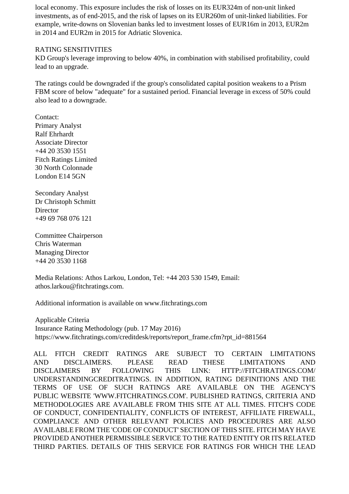local economy. This exposure includes the risk of losses on its EUR324m of non-unit linked investments, as of end-2015, and the risk of lapses on its EUR260m of unit-linked liabilities. For example, write-downs on Slovenian banks led to investment losses of EUR16m in 2013, EUR2m in 2014 and EUR2m in 2015 for Adriatic Slovenica.

## RATING SENSITIVITIES

 KD Group's leverage improving to below 40%, in combination with stabilised profitability, could lead to an upgrade.

 The ratings could be downgraded if the group's consolidated capital position weakens to a Prism FBM score of below "adequate" for a sustained period. Financial leverage in excess of 50% could also lead to a downgrade.

 Contact: Primary Analyst Ralf Ehrhardt Associate Director +44 20 3530 1551 Fitch Ratings Limited 30 North Colonnade London E14 5GN

 Secondary Analyst Dr Christoph Schmitt **Director** +49 69 768 076 121

 Committee Chairperson Chris Waterman Managing Director +44 20 3530 1168

 Media Relations: Athos Larkou, London, Tel: +44 203 530 1549, Email: athos.larkou@fitchratings.com.

Additional information is available on www.fitchratings.com

 Applicable Criteria Insurance Rating Methodology (pub. 17 May 2016) https://www.fitchratings.com/creditdesk/reports/report\_frame.cfm?rpt\_id=881564

ALL FITCH CREDIT RATINGS ARE SUBJECT TO CERTAIN LIMITATIONS AND DISCLAIMERS. PLEASE READ THESE LIMITATIONS AND DISCLAIMERS BY FOLLOWING THIS LINK: HTTP://FITCHRATINGS.COM/ UNDERSTANDINGCREDITRATINGS. IN ADDITION, RATING DEFINITIONS AND THE TERMS OF USE OF SUCH RATINGS ARE AVAILABLE ON THE AGENCY'S PUBLIC WEBSITE 'WWW.FITCHRATINGS.COM'. PUBLISHED RATINGS, CRITERIA AND METHODOLOGIES ARE AVAILABLE FROM THIS SITE AT ALL TIMES. FITCH'S CODE OF CONDUCT, CONFIDENTIALITY, CONFLICTS OF INTEREST, AFFILIATE FIREWALL, COMPLIANCE AND OTHER RELEVANT POLICIES AND PROCEDURES ARE ALSO AVAILABLE FROM THE 'CODE OF CONDUCT' SECTION OF THIS SITE. FITCH MAY HAVE PROVIDED ANOTHER PERMISSIBLE SERVICE TO THE RATED ENTITY OR ITS RELATED THIRD PARTIES. DETAILS OF THIS SERVICE FOR RATINGS FOR WHICH THE LEAD